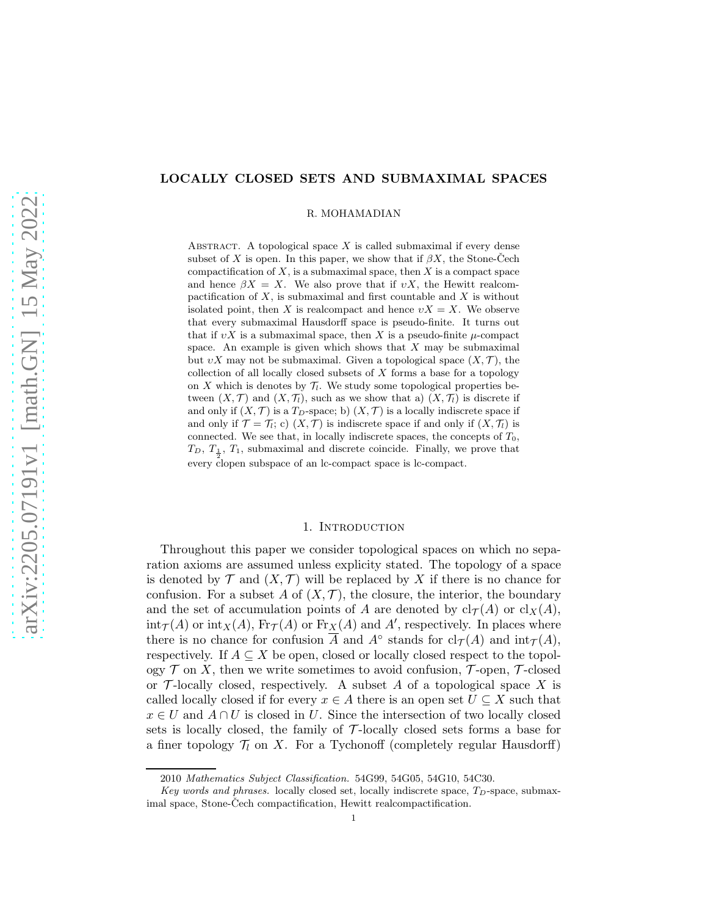# LOCALLY CLOSED SETS AND SUBMAXIMAL SPACES

R. MOHAMADIAN

ABSTRACT. A topological space  $X$  is called submaximal if every dense subset of X is open. In this paper, we show that if  $\beta X$ , the Stone-Cech compactification of  $X$ , is a submaximal space, then  $X$  is a compact space and hence  $\beta X = X$ . We also prove that if  $vX$ , the Hewitt realcompactification of  $X$ , is submaximal and first countable and  $X$  is without isolated point, then X is realcompact and hence  $vX = X$ . We observe that every submaximal Hausdorff space is pseudo-finite. It turns out that if  $vX$  is a submaximal space, then X is a pseudo-finite  $\mu$ -compact space. An example is given which shows that  $X$  may be submaximal but  $vX$  may not be submaximal. Given a topological space  $(X, \mathcal{T})$ , the collection of all locally closed subsets of  $X$  forms a base for a topology on X which is denotes by  $\mathcal{T}_l$ . We study some topological properties between  $(X, \mathcal{T})$  and  $(X, \mathcal{T}_l)$ , such as we show that a)  $(X, \mathcal{T}_l)$  is discrete if and only if  $(X, \mathcal{T})$  is a  $T_D$ -space; b)  $(X, \mathcal{T})$  is a locally indiscrete space if and only if  $\mathcal{T} = \mathcal{T}_l$ ; c)  $(X, \mathcal{T})$  is indiscrete space if and only if  $(X, \mathcal{T}_l)$  is connected. We see that, in locally indiscrete spaces, the concepts of  $T_0$ ,  $T_D, T_{\frac{1}{2}}, T_1$ , submaximal and discrete coincide. Finally, we prove that every clopen subspace of an lc-compact space is lc-compact.

### 1. INTRODUCTION

Throughout this paper we consider topological spaces on which no separation axioms are assumed unless explicity stated. The topology of a space is denoted by  $\mathcal T$  and  $(X,\mathcal T)$  will be replaced by X if there is no chance for confusion. For a subset A of  $(X, \mathcal{T})$ , the closure, the interior, the boundary and the set of accumulation points of A are denoted by  $cl_{\mathcal{T}}(A)$  or  $cl_{X}(A)$ ,  $\text{int}_{\mathcal{T}}(A)$  or  $\text{int}_{X}(A)$ ,  $\text{Fr}_{\mathcal{T}}(A)$  or  $\text{Fr}_{X}(A)$  and  $A'$ , respectively. In places where there is no chance for confusion  $\overline{A}$  and  $A^{\circ}$  stands for  $\text{cl}_{\mathcal{T}}(A)$  and  $\text{int}_{\mathcal{T}}(A)$ , respectively. If  $A \subseteq X$  be open, closed or locally closed respect to the topology  $\mathcal T$  on X, then we write sometimes to avoid confusion,  $\mathcal T$ -open,  $\mathcal T$ -closed or  $\mathcal T$ -locally closed, respectively. A subset A of a topological space X is called locally closed if for every  $x \in A$  there is an open set  $U \subseteq X$  such that  $x \in U$  and  $A \cap U$  is closed in U. Since the intersection of two locally closed sets is locally closed, the family of  $\mathcal{T}\text{-locally closed sets forms a base for }$ a finer topology  $\mathcal{T}_l$  on X. For a Tychonoff (completely regular Hausdorff)

<sup>2010</sup> Mathematics Subject Classification. 54G99, 54G05, 54G10, 54C30.

Key words and phrases. locally closed set, locally indiscrete space,  $T_D$ -space, submaximal space, Stone-Cech compactification, Hewitt realcompactification.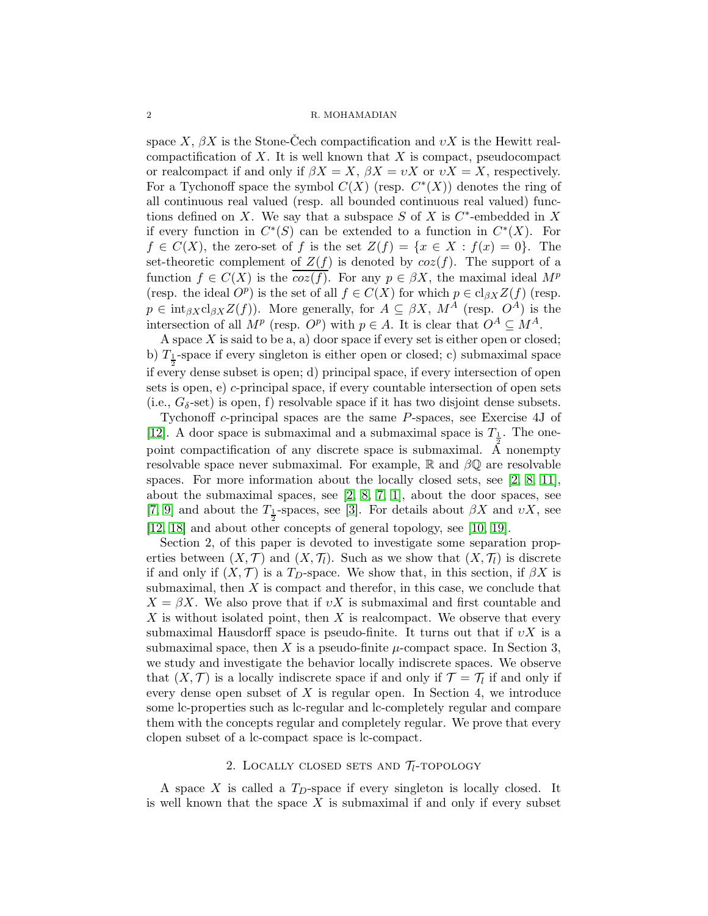space X,  $\beta X$  is the Stone-Cech compactification and  $vX$  is the Hewitt realcompactification of  $X$ . It is well known that  $X$  is compact, pseudocompact or realcompact if and only if  $\beta X = X$ ,  $\beta X = vX$  or  $vX = X$ , respectively. For a Tychonoff space the symbol  $C(X)$  (resp.  $C^*(X)$ ) denotes the ring of all continuous real valued (resp. all bounded continuous real valued) functions defined on X. We say that a subspace  $S$  of  $X$  is  $C^*$ -embedded in X if every function in  $C^*(S)$  can be extended to a function in  $C^*(X)$ . For  $f \in C(X)$ , the zero-set of f is the set  $Z(f) = \{x \in X : f(x) = 0\}$ . The set-theoretic complement of  $Z(f)$  is denoted by  $\cos(f)$ . The support of a function  $f \in C(X)$  is the  $\cos(f)$ . For any  $p \in \beta X$ , the maximal ideal  $M^p$ (resp. the ideal  $O^p$ ) is the set of all  $f \in C(X)$  for which  $p \in cl_{\beta X}Z(f)$  (resp.  $p \in \text{int}_{\beta X}cl_{\beta X}Z(f)$ ). More generally, for  $A \subseteq \beta X$ ,  $M^A$  (resp.  $O^A$ ) is the intersection of all  $M^p$  (resp.  $O^p$ ) with  $p \in A$ . It is clear that  $O^A \subseteq M^A$ .

A space  $X$  is said to be a, a) door space if every set is either open or closed; b)  $T_{\frac{1}{2}}$ -space if every singleton is either open or closed; c) submaximal space if every dense subset is open; d) principal space, if every intersection of open sets is open, e) c-principal space, if every countable intersection of open sets (i.e.,  $G_{\delta}$ -set) is open, f) resolvable space if it has two disjoint dense subsets.

Tychonoff c-principal spaces are the same P-spaces, see Exercise 4J of [\[12\]](#page-13-0). A door space is submaximal and a submaximal space is  $T_{\frac{1}{2}}$ . The onepoint compactification of any discrete space is submaximal. A nonempty resolvable space never submaximal. For example,  $\mathbb R$  and  $\beta\mathbb Q$  are resolvable spaces. For more information about the locally closed sets, see [\[2,](#page-13-1) [8,](#page-13-2) [11\]](#page-13-3), about the submaximal spaces, see [\[2,](#page-13-1) [8,](#page-13-2) [7,](#page-13-4) [1\]](#page-12-0), about the door spaces, see [\[7,](#page-13-4) [9\]](#page-13-5) and about the  $T_{\frac{1}{2}}$ -spaces, see [\[3\]](#page-13-6). For details about  $\beta X$  and  $vX$ , see [\[12,](#page-13-0) [18\]](#page-13-7) and about other concepts of general topology, see [\[10,](#page-13-8) [19\]](#page-13-9).

Section 2, of this paper is devoted to investigate some separation properties between  $(X, \mathcal{T})$  and  $(X, \mathcal{T}_l)$ . Such as we show that  $(X, \mathcal{T}_l)$  is discrete if and only if  $(X, \mathcal{T})$  is a  $T_D$ -space. We show that, in this section, if  $\beta X$  is submaximal, then  $X$  is compact and therefor, in this case, we conclude that  $X = \beta X$ . We also prove that if  $vX$  is submaximal and first countable and  $X$  is without isolated point, then  $X$  is realcompact. We observe that every submaximal Hausdorff space is pseudo-finite. It turns out that if  $vX$  is a submaximal space, then X is a pseudo-finite  $\mu$ -compact space. In Section 3, we study and investigate the behavior locally indiscrete spaces. We observe that  $(X, \mathcal{T})$  is a locally indiscrete space if and only if  $\mathcal{T} = \mathcal{T}_l$  if and only if every dense open subset of  $X$  is regular open. In Section 4, we introduce some lc-properties such as lc-regular and lc-completely regular and compare them with the concepts regular and completely regular. We prove that every clopen subset of a lc-compact space is lc-compact.

## 2. LOCALLY CLOSED SETS AND  $\mathcal{T}_l$ -TOPOLOGY

A space  $X$  is called a  $T_D$ -space if every singleton is locally closed. It is well known that the space  $X$  is submaximal if and only if every subset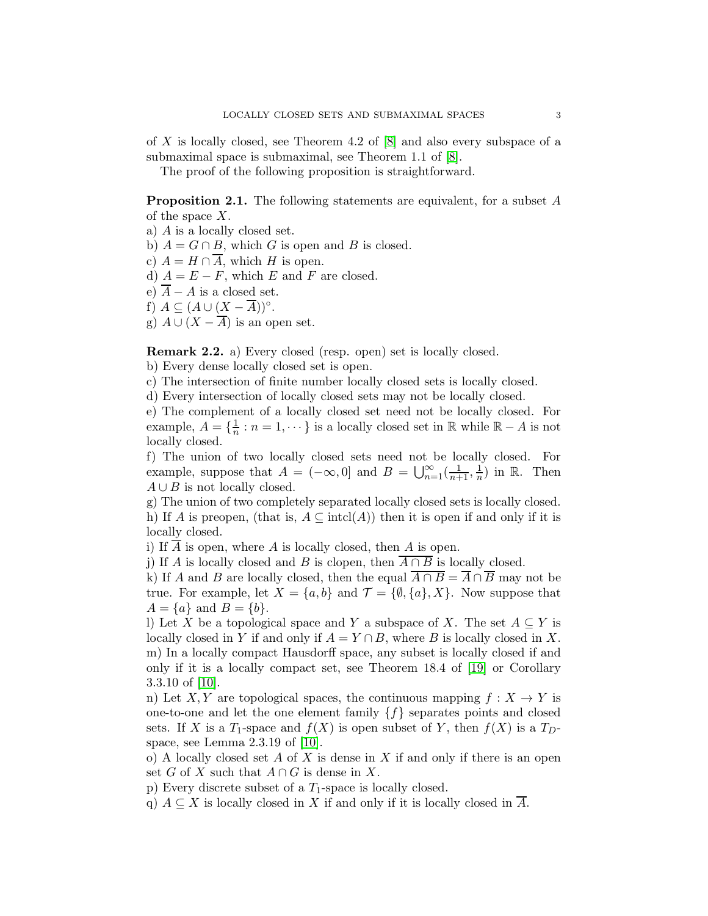of X is locally closed, see Theorem 4.2 of  $[8]$  and also every subspace of a submaximal space is submaximal, see Theorem 1.1 of [\[8\]](#page-13-2).

The proof of the following proposition is straightforward.

Proposition 2.1. The following statements are equivalent, for a subset A of the space  $X$ .

- a) A is a locally closed set.
- b)  $A = G \cap B$ , which G is open and B is closed.
- c)  $A = H \cap \overline{A}$ , which H is open.
- d)  $A = E F$ , which E and F are closed.
- e)  $\overline{A} A$  is a closed set.
- f)  $A \subseteq (A \cup (X \overline{A}))^{\circ}$ .
- g)  $A \cup (X \overline{A})$  is an open set.

Remark 2.2. a) Every closed (resp. open) set is locally closed.

b) Every dense locally closed set is open.

c) The intersection of finite number locally closed sets is locally closed.

d) Every intersection of locally closed sets may not be locally closed.

e) The complement of a locally closed set need not be locally closed. For example,  $A = \{\frac{1}{n}\}$  $\frac{1}{n}$ :  $n = 1, \dots$ } is a locally closed set in R while R – A is not locally closed.

f) The union of two locally closed sets need not be locally closed. For example, suppose that  $A = (-\infty, 0]$  and  $B = \bigcup_{n=1}^{\infty} (\frac{1}{n+1}, \frac{1}{n})$  $\frac{1}{n}$ ) in R. Then  $A \cup B$  is not locally closed.

g) The union of two completely separated locally closed sets is locally closed. h) If A is preopen, (that is,  $A \subseteq \text{intcl}(A)$ ) then it is open if and only if it is locally closed.

i) If  $A$  is open, where  $A$  is locally closed, then  $A$  is open.

j) If A is locally closed and B is clopen, then  $\overline{A \cap B}$  is locally closed.

k) If A and B are locally closed, then the equal  $\overline{A \cap B} = \overline{A} \cap \overline{B}$  may not be true. For example, let  $X = \{a, b\}$  and  $\mathcal{T} = \{\emptyset, \{a\}, X\}$ . Now suppose that  $A = \{a\}$  and  $B = \{b\}.$ 

l) Let X be a topological space and Y a subspace of X. The set  $A \subseteq Y$  is locally closed in Y if and only if  $A = Y \cap B$ , where B is locally closed in X. m) In a locally compact Hausdorff space, any subset is locally closed if and only if it is a locally compact set, see Theorem 18.4 of [\[19\]](#page-13-9) or Corollary 3.3.10 of [\[10\]](#page-13-8).

n) Let X, Y are topological spaces, the continuous mapping  $f: X \to Y$  is one-to-one and let the one element family  $\{f\}$  separates points and closed sets. If X is a  $T_1$ -space and  $f(X)$  is open subset of Y, then  $f(X)$  is a  $T_D$ space, see Lemma 2.3.19 of [\[10\]](#page-13-8).

o) A locally closed set  $A$  of  $X$  is dense in  $X$  if and only if there is an open set G of X such that  $A \cap G$  is dense in X.

p) Every discrete subset of a  $T_1$ -space is locally closed.

q)  $A \subseteq X$  is locally closed in X if and only if it is locally closed in A.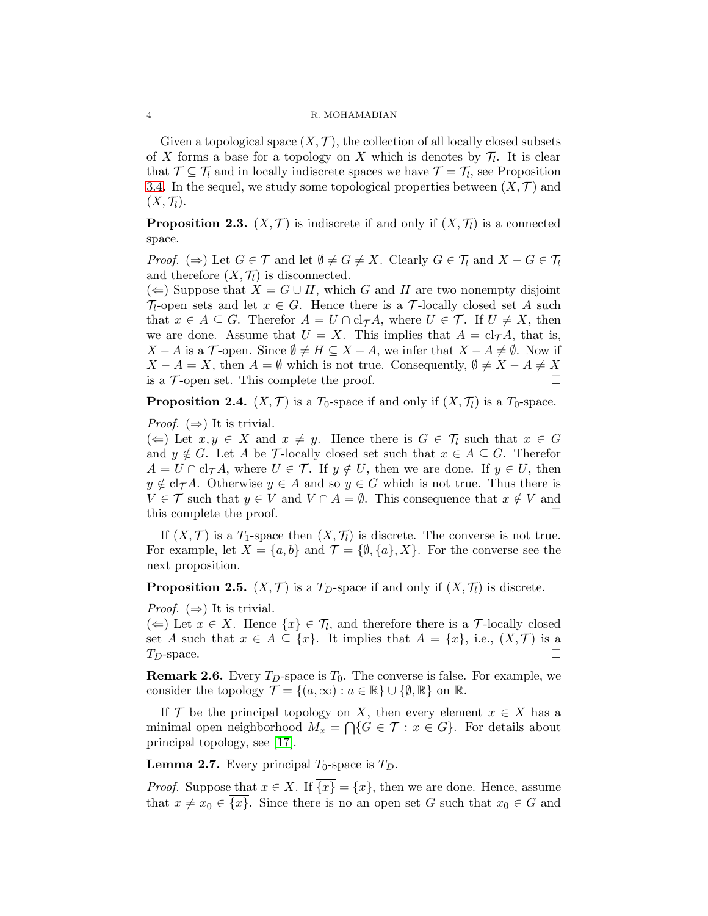Given a topological space  $(X, \mathcal{T})$ , the collection of all locally closed subsets of X forms a base for a topology on X which is denotes by  $\mathcal{T}_l$ . It is clear that  $\mathcal{T} \subseteq \mathcal{T}_l$  and in locally indiscrete spaces we have  $\mathcal{T} = \mathcal{T}_l$ , see Proposition [3.4.](#page-10-0) In the sequel, we study some topological properties between  $(X, \mathcal{T})$  and  $(X,\mathcal{T}_l).$ 

**Proposition 2.3.**  $(X, \mathcal{T})$  is indiscrete if and only if  $(X, \mathcal{T}_l)$  is a connected space.

*Proof.* ( $\Rightarrow$ ) Let  $G \in \mathcal{T}$  and let  $\emptyset \neq G \neq X$ . Clearly  $G \in \mathcal{T}_l$  and  $X - G \in \mathcal{T}_l$ and therefore  $(X, \mathcal{T}_l)$  is disconnected.

(←) Suppose that  $X = G \cup H$ , which G and H are two nonempty disjoint  $\mathcal{T}_l$ -open sets and let  $x \in G$ . Hence there is a  $\mathcal{T}$ -locally closed set A such that  $x \in A \subseteq G$ . Therefor  $A = U \cap d_{\mathcal{T}}A$ , where  $U \in \mathcal{T}$ . If  $U \neq X$ , then we are done. Assume that  $U = X$ . This implies that  $A = cl_{\mathcal{T}}A$ , that is,  $X - A$  is a  $\mathcal{T}$ -open. Since  $\emptyset \neq H \subseteq X - A$ , we infer that  $X - A \neq \emptyset$ . Now if  $X - A = X$ , then  $A = \emptyset$  which is not true. Consequently,  $\emptyset \neq X - A \neq X$ is a  $\mathcal T$ -open set. This complete the proof.  $\Box$ 

**Proposition 2.4.**  $(X, \mathcal{T})$  is a  $T_0$ -space if and only if  $(X, \mathcal{T}_l)$  is a  $T_0$ -space.

*Proof.*  $(\Rightarrow)$  It is trivial.

(←) Let  $x, y \in X$  and  $x \neq y$ . Hence there is  $G \in \mathcal{T}_l$  such that  $x \in G$ and  $y \notin G$ . Let A be T-locally closed set such that  $x \in A \subseteq G$ . Therefor  $A = U \cap cl_{\mathcal{T}}A$ , where  $U \in \mathcal{T}$ . If  $y \notin U$ , then we are done. If  $y \in U$ , then  $y \notin cl_{\mathcal{T}}A$ . Otherwise  $y \in A$  and so  $y \in G$  which is not true. Thus there is  $V \in \mathcal{T}$  such that  $y \in V$  and  $V \cap A = \emptyset$ . This consequence that  $x \notin V$  and this complete the proof.

If  $(X, \mathcal{T})$  is a  $T_1$ -space then  $(X, \mathcal{T}_l)$  is discrete. The converse is not true. For example, let  $X = \{a, b\}$  and  $\mathcal{T} = \{\emptyset, \{a\}, X\}$ . For the converse see the next proposition.

**Proposition 2.5.**  $(X, \mathcal{T})$  is a  $T_D$ -space if and only if  $(X, \mathcal{T}_l)$  is discrete.

*Proof.*  $(\Rightarrow)$  It is trivial.

(←) Let  $x \in X$ . Hence  $\{x\} \in \mathcal{T}_l$ , and therefore there is a  $\mathcal{T}$ -locally closed set A such that  $x \in A \subseteq \{x\}$ . It implies that  $A = \{x\}$ , i.e.,  $(X, \mathcal{T})$  is a  $T_D$ -space.

**Remark 2.6.** Every  $T_D$ -space is  $T_0$ . The converse is false. For example, we consider the topology  $\mathcal{T} = \{(a, \infty) : a \in \mathbb{R}\} \cup \{\emptyset, \mathbb{R}\}$  on  $\mathbb{R}$ .

If T be the principal topology on X, then every element  $x \in X$  has a minimal open neighborhood  $M_x = \bigcap \{G \in \mathcal{T} : x \in G\}$ . For details about principal topology, see [\[17\]](#page-13-10).

**Lemma 2.7.** Every principal  $T_0$ -space is  $T_D$ .

*Proof.* Suppose that  $x \in X$ . If  $\overline{\{x\}} = \{x\}$ , then we are done. Hence, assume that  $x \neq x_0 \in \{x\}$ . Since there is no an open set G such that  $x_0 \in G$  and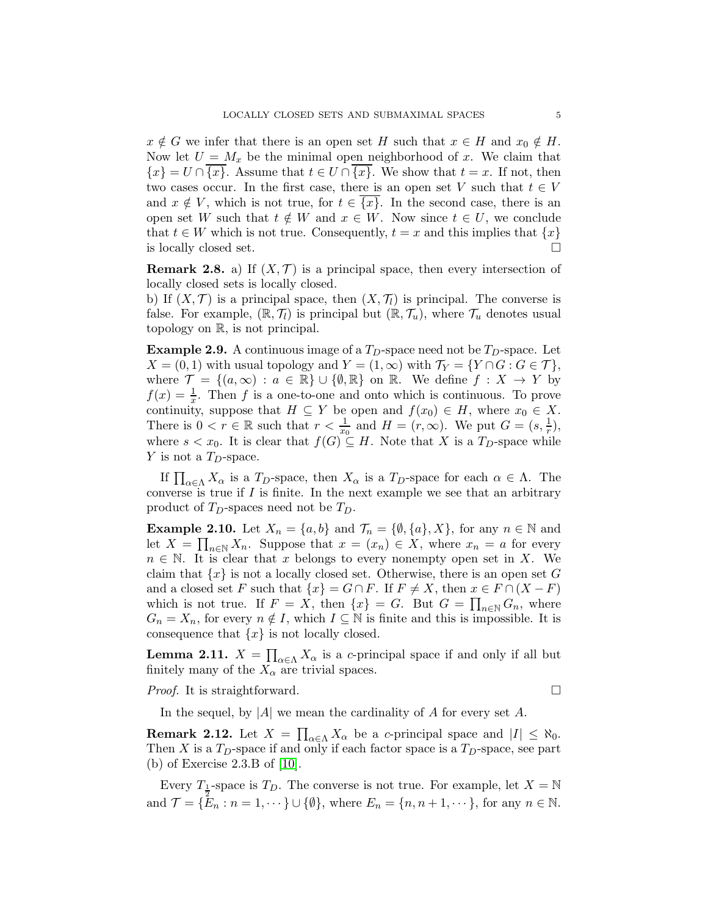$x \notin G$  we infer that there is an open set H such that  $x \in H$  and  $x_0 \notin H$ . Now let  $U = M_x$  be the minimal open neighborhood of x. We claim that  $\{x\} = U \cap \{x\}.$  Assume that  $t \in U \cap \{x\}.$  We show that  $t = x$ . If not, then two cases occur. In the first case, there is an open set V such that  $t \in V$ and  $x \notin V$ , which is not true, for  $t \in \{x\}$ . In the second case, there is an open set W such that  $t \notin W$  and  $x \in W$ . Now since  $t \in U$ , we conclude that  $t \in W$  which is not true. Consequently,  $t = x$  and this implies that  $\{x\}$ is locally closed set.  $\Box$ 

**Remark 2.8.** a) If  $(X, \mathcal{T})$  is a principal space, then every intersection of locally closed sets is locally closed.

b) If  $(X, \mathcal{T})$  is a principal space, then  $(X, \mathcal{T}_l)$  is principal. The converse is false. For example,  $(\mathbb{R}, \mathcal{T}_l)$  is principal but  $(\mathbb{R}, \mathcal{T}_u)$ , where  $\mathcal{T}_u$  denotes usual topology on R, is not principal.

**Example 2.9.** A continuous image of a  $T<sub>D</sub>$ -space need not be  $T<sub>D</sub>$ -space. Let  $X = (0, 1)$  with usual topology and  $Y = (1, \infty)$  with  $\mathcal{T}_Y = \{Y \cap G : G \in \mathcal{T}\},\$ where  $\mathcal{T} = \{(a, \infty) : a \in \mathbb{R}\} \cup \{\emptyset, \mathbb{R}\}$  on R. We define  $f : X \to Y$  by  $f(x) = \frac{1}{x}$ . Then f is a one-to-one and onto which is continuous. To prove continuity, suppose that  $H \subseteq Y$  be open and  $f(x_0) \in H$ , where  $x_0 \in X$ . There is  $0 < r \in \mathbb{R}$  such that  $r < \frac{1}{x_0}$  and  $H = (r, \infty)$ . We put  $G = (s, \frac{1}{r}),$ where  $s < x_0$ . It is clear that  $f(G) \subseteq H$ . Note that X is a  $T_D$ -space while Y is not a  $T_D$ -space.

If  $\prod_{\alpha \in \Lambda} X_{\alpha}$  is a  $T_D$ -space, then  $X_{\alpha}$  is a  $T_D$ -space for each  $\alpha \in \Lambda$ . The converse is true if  $I$  is finite. In the next example we see that an arbitrary product of  $T_D$ -spaces need not be  $T_D$ .

**Example 2.10.** Let  $X_n = \{a, b\}$  and  $\mathcal{T}_n = \{\emptyset, \{a\}, X\}$ , for any  $n \in \mathbb{N}$  and let  $X = \prod_{n \in \mathbb{N}} X_n$ . Suppose that  $x = (x_n) \in X$ , where  $x_n = a$  for every  $n \in \mathbb{N}$ . It is clear that x belongs to every nonempty open set in X. We claim that  $\{x\}$  is not a locally closed set. Otherwise, there is an open set G and a closed set F such that  $\{x\} = G \cap F$ . If  $F \neq X$ , then  $x \in F \cap (X - F)$ which is not true. If  $F = X$ , then  $\{x\} = G$ . But  $G = \prod_{n \in \mathbb{N}} G_n$ , where  $G_n = X_n$ , for every  $n \notin I$ , which  $I \subseteq \mathbb{N}$  is finite and this is impossible. It is consequence that  $\{x\}$  is not locally closed.

**Lemma 2.11.**  $X = \prod_{\alpha \in \Lambda} X_{\alpha}$  is a c-principal space if and only if all but finitely many of the  $X_{\alpha}$  are trivial spaces.

Proof. It is straightforward.

$$
\qquad \qquad \Box
$$

In the sequel, by |A| we mean the cardinality of A for every set A.

**Remark 2.12.** Let  $X = \prod_{\alpha \in \Lambda} X_{\alpha}$  be a c-principal space and  $|I| \leq \aleph_0$ . Then X is a  $T_D$ -space if and only if each factor space is a  $T_D$ -space, see part (b) of Exercise 2.3.B of [\[10\]](#page-13-8).

Every  $T_{\frac{1}{2}}$ -space is  $T_D$ . The converse is not true. For example, let  $X = \mathbb{N}$ and  $\mathcal{T} = \{E_n : n = 1, \dots \} \cup \{\emptyset\}$ , where  $E_n = \{n, n+1, \dots \}$ , for any  $n \in \mathbb{N}$ .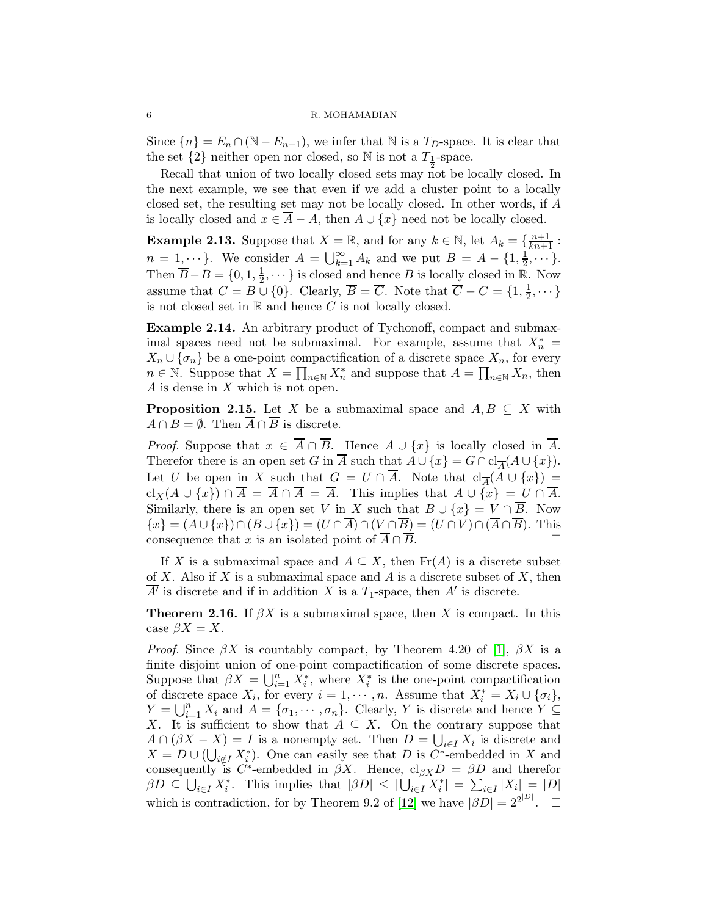Since  ${n \equiv E_n \cap (N - E_{n+1})$ , we infer that N is a  $T_D$ -space. It is clear that the set  $\{2\}$  neither open nor closed, so  $\mathbb N$  is not a  $T_{\frac{1}{2}}$ -space.

Recall that union of two locally closed sets may not be locally closed. In the next example, we see that even if we add a cluster point to a locally closed set, the resulting set may not be locally closed. In other words, if A is locally closed and  $x \in \overline{A} - A$ , then  $A \cup \{x\}$  need not be locally closed.

**Example 2.13.** Suppose that  $X = \mathbb{R}$ , and for any  $k \in \mathbb{N}$ , let  $A_k = \{\frac{n+1}{kn+1} :$  $n = 1, \dots$ }. We consider  $A = \bigcup_{k=1}^{\infty} A_k$  and we put  $B = A - \{1, \frac{1}{2}\}$  $\frac{1}{2}, \cdots \}.$ Then  $\overline{B}-B=\{0,1,\frac{1}{2}\}$  $\frac{1}{2}, \cdots$ } is closed and hence B is locally closed in R. Now assume that  $C = B \cup \{0\}$ . Clearly,  $\overline{B} = \overline{C}$ . Note that  $\overline{C} - C = \{1, \frac{1}{2}, \frac{1}{2}, \frac{1}{2}, \frac{1}{2}\}$  $\frac{1}{2}, \cdots \}$ is not closed set in  $\mathbb R$  and hence  $C$  is not locally closed.

Example 2.14. An arbitrary product of Tychonoff, compact and submaximal spaces need not be submaximal. For example, assume that  $X_n^* =$  $X_n \cup {\sigma_n}$  be a one-point compactification of a discrete space  $X_n$ , for every  $n \in \mathbb{N}$ . Suppose that  $X = \prod_{n \in \mathbb{N}} X_n^*$  and suppose that  $A = \prod_{n \in \mathbb{N}} X_n$ , then A is dense in X which is not open.

**Proposition 2.15.** Let X be a submaximal space and  $A, B \subseteq X$  with  $A \cap B = \emptyset$ . Then  $\overline{A} \cap \overline{B}$  is discrete.

*Proof.* Suppose that  $x \in \overline{A} \cap \overline{B}$ . Hence  $A \cup \{x\}$  is locally closed in  $\overline{A}$ . Therefor there is an open set G in A such that  $A \cup \{x\} = G \cap cl_{\overline{A}}(A \cup \{x\}).$ Let U be open in X such that  $G = U \cap A$ . Note that  $cl_{\overline{A}}(A \cup \{x\}) =$  $\operatorname{cl}_X(A \cup \{x\}) \cap \overline{A} = \overline{A} \cap \overline{A} = \overline{A}$ . This implies that  $A \cup \{x\} = U \cap \overline{A}$ . Similarly, there is an open set V in X such that  $B \cup \{x\} = V \cap \overline{B}$ . Now  $\{x\} = (A \cup \{x\}) \cap (B \cup \{x\}) = (U \cap \overline{A}) \cap (V \cap \overline{B}) = (U \cap V) \cap (\overline{A} \cap \overline{B})$ . This consequence that x is an isolated point of  $\overline{A} \cap \overline{B}$ .

If X is a submaximal space and  $A \subseteq X$ , then  $Fr(A)$  is a discrete subset of X. Also if X is a submaximal space and A is a discrete subset of X, then  $\overline{A'}$  is discrete and if in addition X is a  $T_1$ -space, then  $A'$  is discrete.

<span id="page-5-0"></span>**Theorem 2.16.** If  $\beta X$  is a submaximal space, then X is compact. In this case  $\beta X = X$ .

*Proof.* Since  $\beta X$  is countably compact, by Theorem 4.20 of [\[1\]](#page-12-0),  $\beta X$  is a finite disjoint union of one-point compactification of some discrete spaces. Suppose that  $\beta X = \bigcup_{i=1}^n X_i^*$ , where  $X_i^*$  is the one-point compactification of discrete space  $X_i$ , for every  $i = 1, \dots, n$ . Assume that  $X_i^* = X_i \cup \{\sigma_i\}$ ,  $Y = \bigcup_{i=1}^{n} X_i$  and  $A = \{\sigma_1, \cdots, \sigma_n\}$ . Clearly, Y is discrete and hence  $Y \subseteq$ X. It is sufficient to show that  $A \subseteq X$ . On the contrary suppose that  $A \cap (\beta X - X) = I$  is a nonempty set. Then  $D = \bigcup_{i \in I} X_i$  is discrete and  $X = D \cup (\bigcup_{i \notin I} X_i^*)$ . One can easily see that D is C<sup>\*</sup>-embedded in X and consequently is  $C^*$ -embedded in  $\beta X$ . Hence,  $cl_{\beta X}D = \beta D$  and therefor  $\beta D \subseteq \bigcup_{i \in I} X_i^*$ . This implies that  $|\beta D| \leq |\bigcup_{i \in I} X_i^*| = \sum_{i \in I} |X_i| = |D|$ which is contradiction, for by Theorem 9.2 of [\[12\]](#page-13-0) we have  $|\beta D| = 2^{2^{|D|}}$ .  $\Box$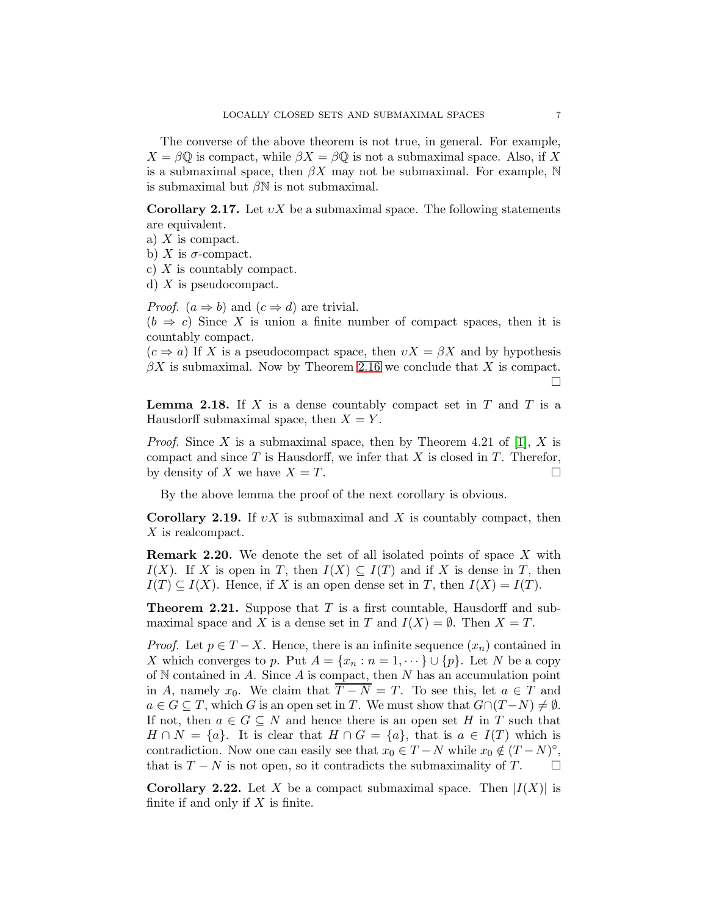The converse of the above theorem is not true, in general. For example,  $X = \beta \mathbb{Q}$  is compact, while  $\beta X = \beta \mathbb{Q}$  is not a submaximal space. Also, if X is a submaximal space, then  $\beta X$  may not be submaximal. For example, N is submaximal but  $\beta \mathbb{N}$  is not submaximal.

Corollary 2.17. Let  $vX$  be a submaximal space. The following statements are equivalent.

a)  $X$  is compact.

b) X is  $\sigma$ -compact.

c) X is countably compact.

d)  $X$  is pseudocompact.

*Proof.*  $(a \Rightarrow b)$  and  $(c \Rightarrow d)$  are trivial.

 $(b \Rightarrow c)$  Since X is union a finite number of compact spaces, then it is countably compact.

 $(c \Rightarrow a)$  If X is a pseudocompact space, then  $vX = \beta X$  and by hypothesis  $\beta X$  is submaximal. Now by Theorem [2.16](#page-5-0) we conclude that X is compact. П

**Lemma 2.18.** If X is a dense countably compact set in T and T is a Hausdorff submaximal space, then  $X = Y$ .

*Proof.* Since X is a submaximal space, then by Theorem 4.21 of [\[1\]](#page-12-0), X is compact and since  $T$  is Hausdorff, we infer that  $X$  is closed in  $T$ . Therefor, by density of X we have  $X = T$ .

By the above lemma the proof of the next corollary is obvious.

Corollary 2.19. If  $vX$  is submaximal and X is countably compact, then X is realcompact.

**Remark 2.20.** We denote the set of all isolated points of space X with  $I(X)$ . If X is open in T, then  $I(X) \subseteq I(T)$  and if X is dense in T, then  $I(T) \subseteq I(X)$ . Hence, if X is an open dense set in T, then  $I(X) = I(T)$ .

<span id="page-6-0"></span>**Theorem 2.21.** Suppose that  $T$  is a first countable, Hausdorff and submaximal space and X is a dense set in T and  $I(X) = \emptyset$ . Then  $X = T$ .

*Proof.* Let  $p \in T - X$ . Hence, there is an infinite sequence  $(x_n)$  contained in X which converges to p. Put  $A = \{x_n : n = 1, \dots \} \cup \{p\}$ . Let N be a copy of  $N$  contained in A. Since A is compact, then N has an accumulation point in A, namely  $x_0$ . We claim that  $\overline{T - N} = T$ . To see this, let  $a \in T$  and  $a \in G \subseteq T$ , which G is an open set in T. We must show that  $G \cap (T - N) \neq \emptyset$ . If not, then  $a \in G \subseteq N$  and hence there is an open set H in T such that  $H \cap N = \{a\}$ . It is clear that  $H \cap G = \{a\}$ , that is  $a \in I(T)$  which is contradiction. Now one can easily see that  $x_0 \in T - N$  while  $x_0 \notin (T - N)^\circ$ , that is  $T - N$  is not open, so it contradicts the submaximality of T.  $\Box$ 

**Corollary 2.22.** Let X be a compact submaximal space. Then  $|I(X)|$  is finite if and only if  $X$  is finite.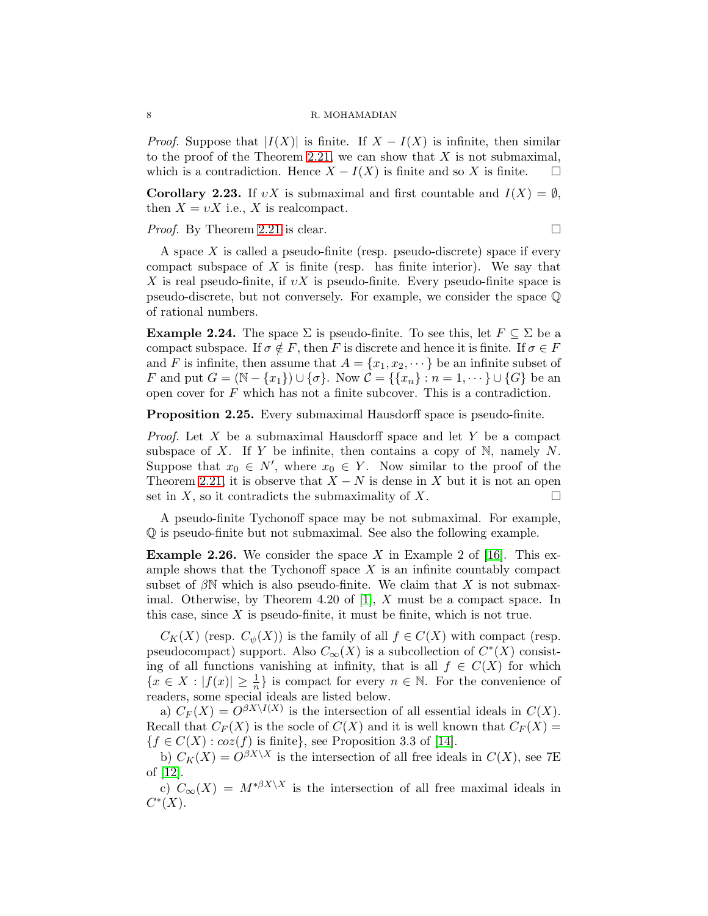*Proof.* Suppose that  $|I(X)|$  is finite. If  $X - I(X)$  is infinite, then similar to the proof of the Theorem [2.21,](#page-6-0) we can show that  $X$  is not submaximal, which is a contradiction. Hence  $X - I(X)$  is finite and so X is finite.  $\square$ 

Corollary 2.23. If  $vX$  is submaximal and first countable and  $I(X) = \emptyset$ , then  $X = vX$  i.e., X is real compact.

*Proof.* By Theorem [2.21](#page-6-0) is clear.

A space X is called a pseudo-finite (resp. pseudo-discrete) space if every compact subspace of  $X$  is finite (resp. has finite interior). We say that X is real pseudo-finite, if  $vX$  is pseudo-finite. Every pseudo-finite space is pseudo-discrete, but not conversely. For example, we consider the space Q of rational numbers.

**Example 2.24.** The space  $\Sigma$  is pseudo-finite. To see this, let  $F \subseteq \Sigma$  be a compact subspace. If  $\sigma \notin F$ , then F is discrete and hence it is finite. If  $\sigma \in F$ and F is infinite, then assume that  $A = \{x_1, x_2, \dots\}$  be an infinite subset of F and put  $G = (\mathbb{N} - \{x_1\}) \cup \{\sigma\}$ . Now  $\mathcal{C} = \{\{x_n\} : n = 1, \dots \} \cup \{G\}$  be an open cover for  $F$  which has not a finite subcover. This is a contradiction.

<span id="page-7-0"></span>Proposition 2.25. Every submaximal Hausdorff space is pseudo-finite.

*Proof.* Let  $X$  be a submaximal Hausdorff space and let  $Y$  be a compact subspace of  $X$ . If  $Y$  be infinite, then contains a copy of  $\mathbb N$ , namely  $N$ . Suppose that  $x_0 \in N'$ , where  $x_0 \in Y$ . Now similar to the proof of the Theorem [2.21,](#page-6-0) it is observe that  $X - N$  is dense in X but it is not an open set in X, so it contradicts the submaximality of X.

A pseudo-finite Tychonoff space may be not submaximal. For example, Q is pseudo-finite but not submaximal. See also the following example.

**Example 2.26.** We consider the space X in Example 2 of [\[16\]](#page-13-11). This example shows that the Tychonoff space  $X$  is an infinite countably compact subset of  $\beta\mathbb{N}$  which is also pseudo-finite. We claim that X is not submaximal. Otherwise, by Theorem 4.20 of [\[1\]](#page-12-0), X must be a compact space. In this case, since  $X$  is pseudo-finite, it must be finite, which is not true.

 $C_K(X)$  (resp.  $C_{\psi}(X)$ ) is the family of all  $f \in C(X)$  with compact (resp. pseudocompact) support. Also  $C_{\infty}(X)$  is a subcollection of  $C^{*}(X)$  consisting of all functions vanishing at infinity, that is all  $f \in C(X)$  for which  $\{x \in X : |f(x)| \geq \frac{1}{n}\}\$ is compact for every  $n \in \mathbb{N}$ . For the convenience of readers, some special ideals are listed below.

a)  $C_F(X) = O^{\beta X \setminus I(X)}$  is the intersection of all essential ideals in  $C(X)$ . Recall that  $C_F(X)$  is the socle of  $C(X)$  and it is well known that  $C_F(X)$  =  ${f \in C(X) : \text{coz}(f) \text{ is finite}}, \text{ see Proposition 3.3 of [14].}$  ${f \in C(X) : \text{coz}(f) \text{ is finite}}, \text{ see Proposition 3.3 of [14].}$  ${f \in C(X) : \text{coz}(f) \text{ is finite}}, \text{ see Proposition 3.3 of [14].}$ 

b)  $C_K(X) = O^{\beta X \setminus X}$  is the intersection of all free ideals in  $C(X)$ , see 7E of [\[12\]](#page-13-0).

c)  $C_{\infty}(X) = M^{*\beta X \setminus X}$  is the intersection of all free maximal ideals in  $C^*(X)$ .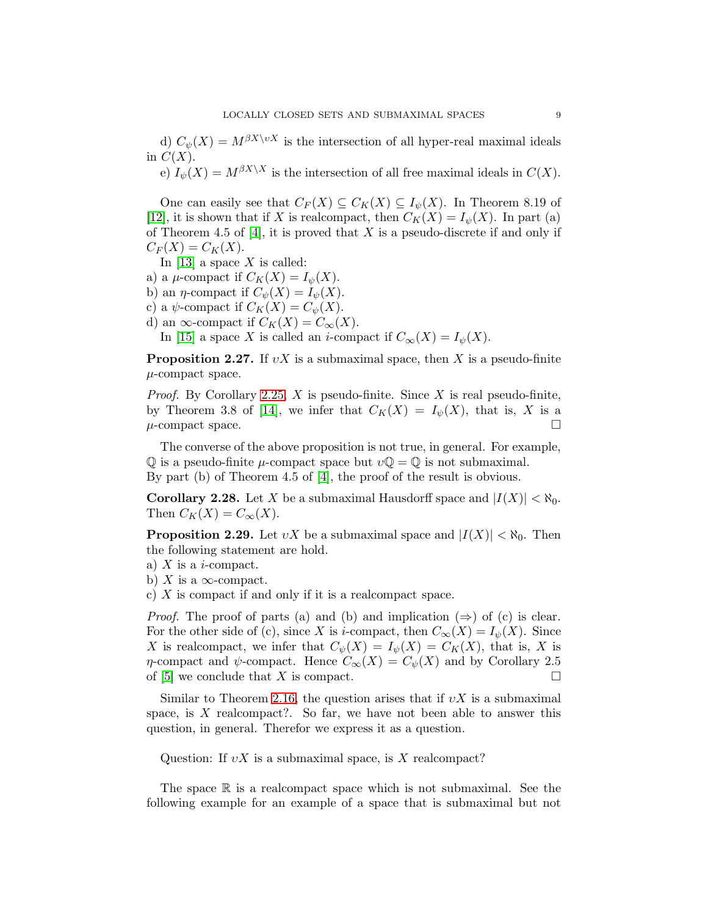d)  $C_{\psi}(X) = M^{\beta X \setminus \nu X}$  is the intersection of all hyper-real maximal ideals in  $C(X)$ .

e)  $I_{\psi}(X) = M^{\beta X \setminus X}$  is the intersection of all free maximal ideals in  $C(X)$ .

One can easily see that  $C_F(X) \subseteq C_K(X) \subseteq I_{\psi}(X)$ . In Theorem 8.19 of [\[12\]](#page-13-0), it is shown that if X is realcompact, then  $C_K(X) = I_{\psi}(X)$ . In part (a) of Theorem 4.5 of [\[4\]](#page-13-13), it is proved that X is a pseudo-discrete if and only if  $C_F(X) = C_K(X).$ 

In [\[13\]](#page-13-14) a space X is called:

- a) a  $\mu$ -compact if  $C_K(X) = I_{\psi}(X)$ .
- b) an  $\eta$ -compact if  $C_{\psi}(X) = I_{\psi}(X)$ .
- c) a  $\psi$ -compact if  $C_K(X) = C_{\psi}(X)$ .
- d) an  $\infty$ -compact if  $C_K(X) = C_\infty(X)$ .

In [\[15\]](#page-13-15) a space X is called an *i*-compact if  $C_{\infty}(X) = I_{\psi}(X)$ .

**Proposition 2.27.** If  $vX$  is a submaximal space, then X is a pseudo-finite  $\mu$ -compact space.

*Proof.* By Corollary [2.25,](#page-7-0)  $X$  is pseudo-finite. Since  $X$  is real pseudo-finite, by Theorem 3.8 of [\[14\]](#page-13-12), we infer that  $C_K(X) = I_{\psi}(X)$ , that is, X is a  $\mu$ -compact space.

The converse of the above proposition is not true, in general. For example,  $\mathbb Q$  is a pseudo-finite  $\mu$ -compact space but  $v\mathbb Q = \mathbb Q$  is not submaximal. By part (b) of Theorem 4.5 of [\[4\]](#page-13-13), the proof of the result is obvious.

**Corollary 2.28.** Let X be a submaximal Hausdorff space and  $|I(X)| < \aleph_0$ . Then  $C_K(X) = C_\infty(X)$ .

**Proposition 2.29.** Let  $vX$  be a submaximal space and  $|I(X)| < \aleph_0$ . Then the following statement are hold.

a)  $X$  is a *i*-compact.

b) X is a  $\infty$ -compact.

c) X is compact if and only if it is a realcompact space.

*Proof.* The proof of parts (a) and (b) and implication  $(\Rightarrow)$  of (c) is clear. For the other side of (c), since X is *i*-compact, then  $C_{\infty}(X) = I_{\psi}(X)$ . Since X is realcompact, we infer that  $C_{\psi}(X) = I_{\psi}(X) = C_{K}(X)$ , that is, X is  $\eta$ -compact and  $\psi$ -compact. Hence  $C_{\infty}(X) = C_{\psi}(X)$  and by Corollary 2.5 of  $[5]$  we conclude that X is compact.

Similar to Theorem [2.16,](#page-5-0) the question arises that if  $\nu X$  is a submaximal space, is  $X$  realcompact?. So far, we have not been able to answer this question, in general. Therefor we express it as a question.

Question: If  $vX$  is a submaximal space, is X realcompact?

The space  $\mathbb R$  is a realcompact space which is not submaximal. See the following example for an example of a space that is submaximal but not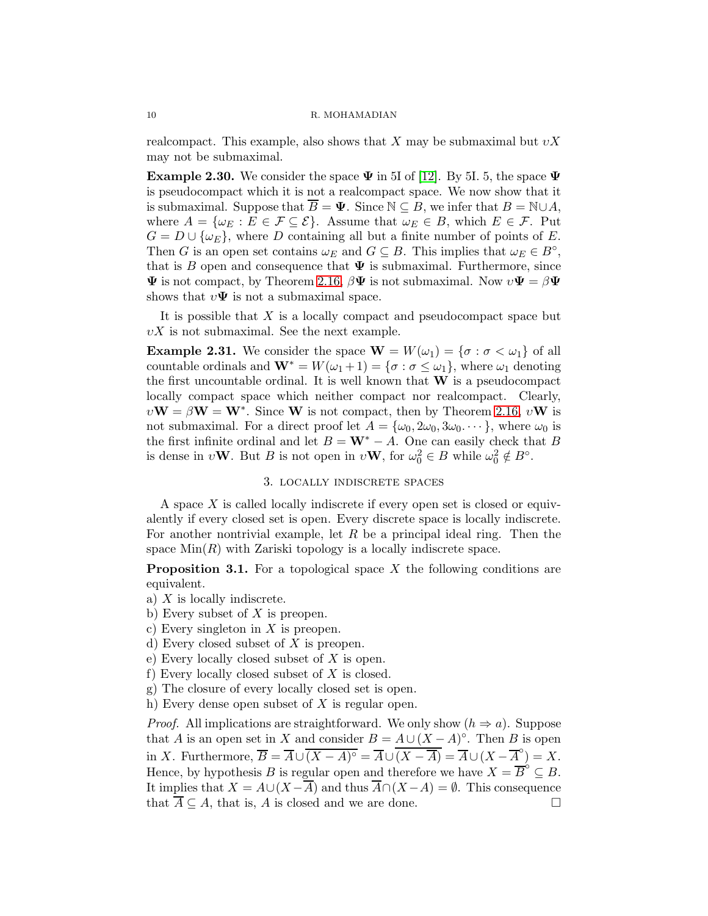realcompact. This example, also shows that X may be submaximal but  $vX$ may not be submaximal.

**Example 2.30.** We consider the space  $\Psi$  in 5I of [\[12\]](#page-13-0). By 5I. 5, the space  $\Psi$ is pseudocompact which it is not a realcompact space. We now show that it is submaximal. Suppose that  $\overline{B} = \Psi$ . Since  $\mathbb{N} \subseteq B$ , we infer that  $B = \mathbb{N} \cup A$ , where  $A = {\omega_E : E \in \mathcal{F} \subseteq \mathcal{E}}$ . Assume that  $\omega_E \in B$ , which  $E \in \mathcal{F}$ . Put  $G = D \cup {\omega_E}$ , where D containing all but a finite number of points of E. Then G is an open set contains  $\omega_E$  and  $G \subseteq B$ . This implies that  $\omega_E \in B^{\circ}$ , that is B open and consequence that  $\Psi$  is submaximal. Furthermore, since  $\Psi$  is not compact, by Theorem [2.16,](#page-5-0)  $\beta \Psi$  is not submaximal. Now  $v\Psi = \beta \Psi$ shows that  $v\Psi$  is not a submaximal space.

It is possible that  $X$  is a locally compact and pseudocompact space but  $\nu X$  is not submaximal. See the next example.

**Example 2.31.** We consider the space  $\mathbf{W} = W(\omega_1) = \{ \sigma : \sigma < \omega_1 \}$  of all countable ordinals and  $\mathbf{W}^* = W(\omega_1 + 1) = \{\sigma : \sigma \leq \omega_1\}$ , where  $\omega_1$  denoting the first uncountable ordinal. It is well known that  $W$  is a pseudocompact locally compact space which neither compact nor realcompact. Clearly,  $vW = \beta W = W^*$ . Since W is not compact, then by Theorem [2.16,](#page-5-0)  $vW$  is not submaximal. For a direct proof let  $A = {\omega_0, 2\omega_0, 3\omega_0, \dots}$ , where  $\omega_0$  is the first infinite ordinal and let  $B = W^* - A$ . One can easily check that B is dense in  $v\mathbf{W}$ . But B is not open in  $v\mathbf{W}$ , for  $\omega_0^2 \in B$  while  $\omega_0^2 \notin B^{\circ}$ .

## 3. locally indiscrete spaces

A space X is called locally indiscrete if every open set is closed or equivalently if every closed set is open. Every discrete space is locally indiscrete. For another nontrivial example, let  $R$  be a principal ideal ring. Then the space  $\text{Min}(R)$  with Zariski topology is a locally indiscrete space.

**Proposition 3.1.** For a topological space X the following conditions are equivalent.

- a) X is locally indiscrete.
- b) Every subset of  $X$  is preopen.
- c) Every singleton in  $X$  is preopen.
- d) Every closed subset of X is preopen.
- e) Every locally closed subset of X is open.
- f) Every locally closed subset of  $X$  is closed.
- g) The closure of every locally closed set is open.
- h) Every dense open subset of  $X$  is regular open.

*Proof.* All implications are straightforward. We only show  $(h \Rightarrow a)$ . Suppose that A is an open set in X and consider  $B = A \cup (X - A)^{\circ}$ . Then B is open in X. Furthermore,  $\overline{B} = \overline{A} \cup \overline{(X - A)^{\circ}} = \overline{A} \cup \overline{(X - \overline{A})} = \overline{A} \cup (X - \overline{A}^{\circ}) = X$ . Hence, by hypothesis B is regular open and therefore we have  $X = \overline{B}^{\circ} \subseteq B$ . It implies that  $X = A \cup (X - A)$  and thus  $A \cap (X - A) = ∅$ . This consequence that  $A \subseteq A$ , that is, A is closed and we are done.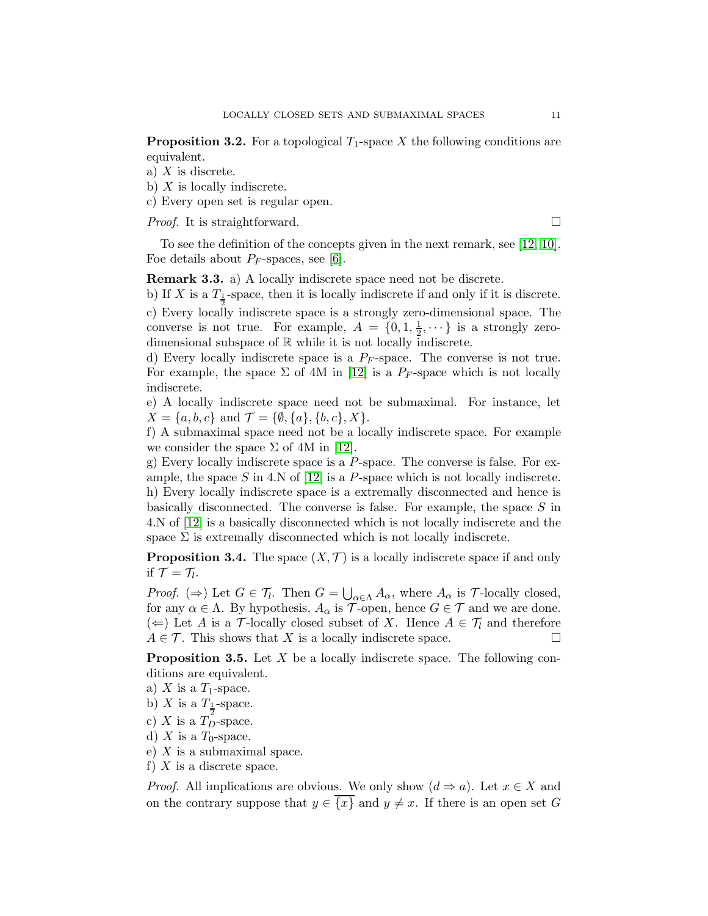**Proposition 3.2.** For a topological  $T_1$ -space X the following conditions are equivalent.

a)  $X$  is discrete.

b)  $X$  is locally indiscrete.

c) Every open set is regular open.

*Proof.* It is straightforward.  $\square$ 

To see the definition of the concepts given in the next remark, see [\[12,](#page-13-0) [10\]](#page-13-8). Foe details about  $P_F$ -spaces, see [\[6\]](#page-13-17).

Remark 3.3. a) A locally indiscrete space need not be discrete.

b) If X is a  $T_{\frac{1}{2}}$ -space, then it is locally indiscrete if and only if it is discrete.

c) Every locally indiscrete space is a strongly zero-dimensional space. The converse is not true. For example,  $A = \{0, 1, \frac{1}{2}\}$  $\frac{1}{2}, \cdots$ } is a strongly zerodimensional subspace of R while it is not locally indiscrete.

d) Every locally indiscrete space is a  $P_F$ -space. The converse is not true. For example, the space  $\Sigma$  of 4M in [\[12\]](#page-13-0) is a  $P_F$ -space which is not locally indiscrete.

e) A locally indiscrete space need not be submaximal. For instance, let  $X = \{a, b, c\}$  and  $\mathcal{T} = \{\emptyset, \{a\}, \{b, c\}, X\}.$ 

f) A submaximal space need not be a locally indiscrete space. For example we consider the space  $\Sigma$  of 4M in [\[12\]](#page-13-0).

g) Every locally indiscrete space is a P-space. The converse is false. For example, the space  $S$  in 4.N of [\[12\]](#page-13-0) is a P-space which is not locally indiscrete. h) Every locally indiscrete space is a extremally disconnected and hence is basically disconnected. The converse is false. For example, the space  $S$  in 4.N of [\[12\]](#page-13-0) is a basically disconnected which is not locally indiscrete and the space  $\Sigma$  is extremally disconnected which is not locally indiscrete.

<span id="page-10-0"></span>**Proposition 3.4.** The space  $(X, \mathcal{T})$  is a locally indiscrete space if and only if  $\mathcal{T} = \mathcal{T}_l$ .

*Proof.* ( $\Rightarrow$ ) Let  $G \in \mathcal{T}_l$ . Then  $G = \bigcup_{\alpha \in \Lambda} A_\alpha$ , where  $A_\alpha$  is  $\mathcal{T}$ -locally closed, for any  $\alpha \in \Lambda$ . By hypothesis,  $A_{\alpha}$  is  $\mathcal{T}$ -open, hence  $G \in \mathcal{T}$  and we are done. (←) Let A is a  $\mathcal{T}$ -locally closed subset of X. Hence  $A \in \mathcal{T}_l$  and therefore  $A \in \mathcal{T}$ . This shows that X is a locally indiscrete space.

**Proposition 3.5.** Let X be a locally indiscrete space. The following conditions are equivalent.

- a) X is a  $T_1$ -space.
- b) X is a  $T_{\frac{1}{2}}$ -space.
- c)  $X$  is a  $T_D$ -space.
- d) X is a  $T_0$ -space.
- e)  $X$  is a submaximal space.
- f)  $X$  is a discrete space.

*Proof.* All implications are obvious. We only show  $(d \Rightarrow a)$ . Let  $x \in X$  and on the contrary suppose that  $y \in \{x\}$  and  $y \neq x$ . If there is an open set G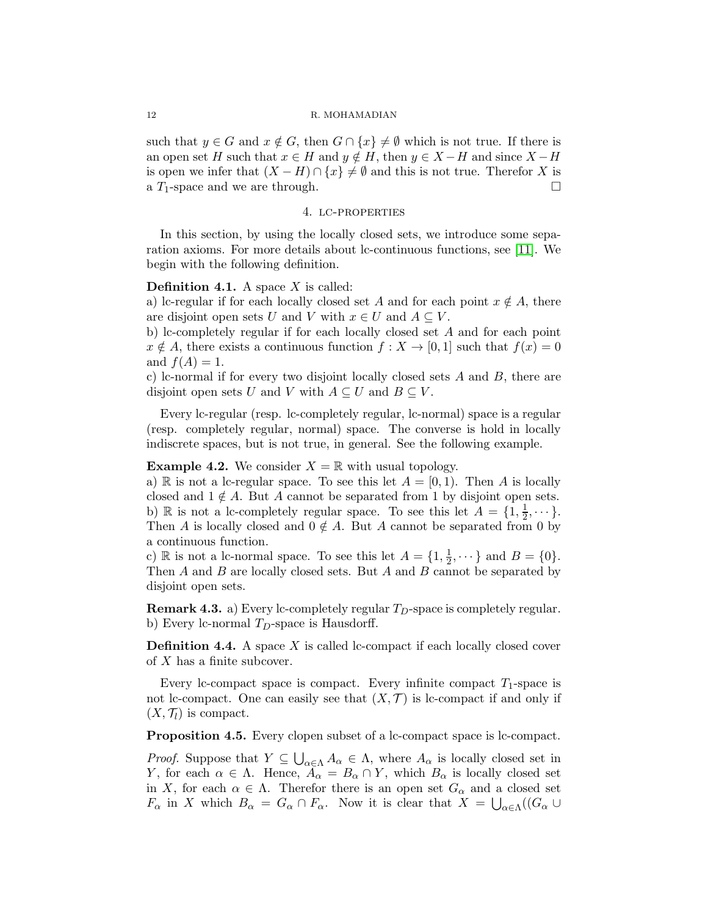such that  $y \in G$  and  $x \notin G$ , then  $G \cap \{x\} \neq \emptyset$  which is not true. If there is an open set H such that  $x \in H$  and  $y \notin H$ , then  $y \in X - H$  and since  $X - H$ is open we infer that  $(X - H) \cap \{x\} \neq \emptyset$  and this is not true. Therefor X is a  $T_1$ -space and we are through.

### 4. lc-properties

In this section, by using the locally closed sets, we introduce some separation axioms. For more details about lc-continuous functions, see [\[11\]](#page-13-3). We begin with the following definition.

### **Definition 4.1.** A space  $X$  is called:

a) lc-regular if for each locally closed set A and for each point  $x \notin A$ , there are disjoint open sets U and V with  $x \in U$  and  $A \subseteq V$ .

b) lc-completely regular if for each locally closed set  $A$  and for each point  $x \notin A$ , there exists a continuous function  $f : X \to [0,1]$  such that  $f(x) = 0$ and  $f(A) = 1$ .

c) lc-normal if for every two disjoint locally closed sets  $A$  and  $B$ , there are disjoint open sets U and V with  $A \subseteq U$  and  $B \subseteq V$ .

Every lc-regular (resp. lc-completely regular, lc-normal) space is a regular (resp. completely regular, normal) space. The converse is hold in locally indiscrete spaces, but is not true, in general. See the following example.

**Example 4.2.** We consider  $X = \mathbb{R}$  with usual topology.

a) R is not a lc-regular space. To see this let  $A = [0, 1)$ . Then A is locally closed and  $1 \notin A$ . But A cannot be separated from 1 by disjoint open sets. b) R is not a lc-completely regular space. To see this let  $A = \{1, \frac{1}{2}$  $\frac{1}{2}, \cdots \}.$ Then A is locally closed and  $0 \notin A$ . But A cannot be separated from 0 by a continuous function.

c) R is not a lc-normal space. To see this let  $A = \{1, \frac{1}{2}\}$  $\frac{1}{2}, \cdots$ } and  $B = \{0\}.$ Then  $A$  and  $B$  are locally closed sets. But  $A$  and  $B$  cannot be separated by disjoint open sets.

**Remark 4.3.** a) Every lc-completely regular  $T<sub>D</sub>$ -space is completely regular. b) Every lc-normal  $T_D$ -space is Hausdorff.

**Definition 4.4.** A space  $X$  is called lc-compact if each locally closed cover of X has a finite subcover.

Every lc-compact space is compact. Every infinite compact  $T_1$ -space is not lc-compact. One can easily see that  $(X, \mathcal{T})$  is lc-compact if and only if  $(X,\mathcal{T}_l)$  is compact.

Proposition 4.5. Every clopen subset of a lc-compact space is lc-compact.

*Proof.* Suppose that  $Y \subseteq \bigcup_{\alpha \in \Lambda} A_{\alpha} \in \Lambda$ , where  $A_{\alpha}$  is locally closed set in Y, for each  $\alpha \in \Lambda$ . Hence,  $A_{\alpha} = B_{\alpha} \cap Y$ , which  $B_{\alpha}$  is locally closed set in X, for each  $\alpha \in \Lambda$ . Therefor there is an open set  $G_{\alpha}$  and a closed set  $F_{\alpha}$  in X which  $B_{\alpha} = G_{\alpha} \cap F_{\alpha}$ . Now it is clear that  $X = \bigcup_{\alpha \in \Lambda} ((G_{\alpha} \cup$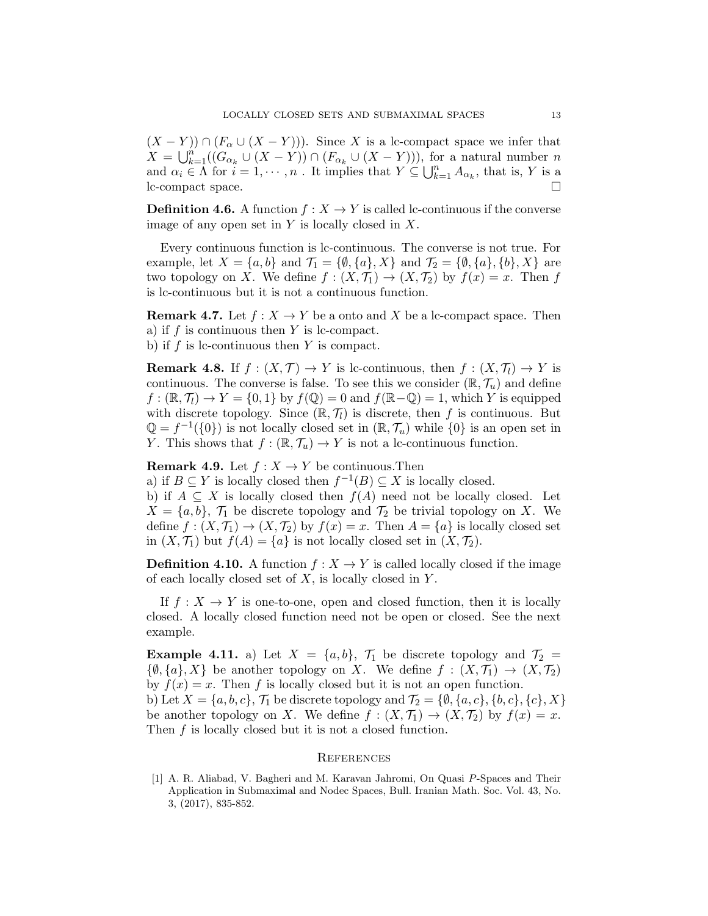$(X - Y) \cap (F_\alpha \cup (X - Y))$ . Since X is a lc-compact space we infer that  $X = \bigcup_{k=1}^{n} ((G_{\alpha_k} \cup (X - Y)) \cap (F_{\alpha_k} \cup (X - Y))),$  for a natural number n and  $\alpha_i \in \Lambda$  for  $i = 1, \dots, n$ . It implies that  $Y \subseteq \bigcup_{k=1}^n A_{\alpha_k}$ , that is, Y is a lc-compact space.

**Definition 4.6.** A function  $f : X \to Y$  is called lc-continuous if the converse image of any open set in  $Y$  is locally closed in  $X$ .

Every continuous function is lc-continuous. The converse is not true. For example, let  $X = \{a, b\}$  and  $\mathcal{T}_1 = \{\emptyset, \{a\}, X\}$  and  $\mathcal{T}_2 = \{\emptyset, \{a\}, \{b\}, X\}$  are two topology on X. We define  $f : (X, \mathcal{T}_1) \to (X, \mathcal{T}_2)$  by  $f(x) = x$ . Then f is lc-continuous but it is not a continuous function.

**Remark 4.7.** Let  $f: X \to Y$  be a onto and X be a lc-compact space. Then a) if  $f$  is continuous then  $Y$  is lc-compact. b) if  $f$  is lc-continuous then  $Y$  is compact.

**Remark 4.8.** If  $f : (X, \mathcal{T}) \to Y$  is lc-continuous, then  $f : (X, \mathcal{T}_l) \to Y$  is continuous. The converse is false. To see this we consider  $(\mathbb{R}, \mathcal{T}_u)$  and define  $f : (\mathbb{R}, \mathcal{T}_l) \to Y = \{0, 1\}$  by  $f(\mathbb{Q}) = 0$  and  $f(\mathbb{R}-\mathbb{Q}) = 1$ , which Y is equipped with discrete topology. Since  $(\mathbb{R}, \mathcal{T}_l)$  is discrete, then f is continuous. But  $\mathbb{Q} = f^{-1}(\{0\})$  is not locally closed set in  $(\mathbb{R}, \mathcal{T}_u)$  while  $\{0\}$  is an open set in Y. This shows that  $f : (\mathbb{R}, \mathcal{T}_u) \to Y$  is not a lc-continuous function.

# **Remark 4.9.** Let  $f: X \to Y$  be continuous. Then

a) if  $B \subseteq Y$  is locally closed then  $f^{-1}(B) \subseteq X$  is locally closed.

b) if  $A \subseteq X$  is locally closed then  $f(A)$  need not be locally closed. Let  $X = \{a, b\}, \mathcal{T}_1$  be discrete topology and  $\mathcal{T}_2$  be trivial topology on X. We define  $f: (X, \mathcal{T}_1) \to (X, \mathcal{T}_2)$  by  $f(x) = x$ . Then  $A = \{a\}$  is locally closed set in  $(X, \mathcal{T}_1)$  but  $f(A) = \{a\}$  is not locally closed set in  $(X, \mathcal{T}_2)$ .

**Definition 4.10.** A function  $f: X \to Y$  is called locally closed if the image of each locally closed set of  $X$ , is locally closed in  $Y$ .

If  $f: X \to Y$  is one-to-one, open and closed function, then it is locally closed. A locally closed function need not be open or closed. See the next example.

**Example 4.11.** a) Let  $X = \{a, b\}$ ,  $\mathcal{T}_1$  be discrete topology and  $\mathcal{T}_2$  $\{\emptyset, \{a\}, X\}$  be another topology on X. We define  $f : (X, \mathcal{T}_1) \to (X, \mathcal{T}_2)$ by  $f(x) = x$ . Then f is locally closed but it is not an open function. b) Let  $X = \{a, b, c\}$ ,  $\mathcal{T}_1$  be discrete topology and  $\mathcal{T}_2 = \{\emptyset, \{a, c\}, \{b, c\}, \{c\}, X\}$ be another topology on X. We define  $f : (X, \mathcal{T}_1) \to (X, \mathcal{T}_2)$  by  $f(x) = x$ . Then f is locally closed but it is not a closed function.

#### **REFERENCES**

<span id="page-12-0"></span>[1] A. R. Aliabad, V. Bagheri and M. Karavan Jahromi, On Quasi P-Spaces and Their Application in Submaximal and Nodec Spaces, Bull. Iranian Math. Soc. Vol. 43, No. 3, (2017), 835-852.